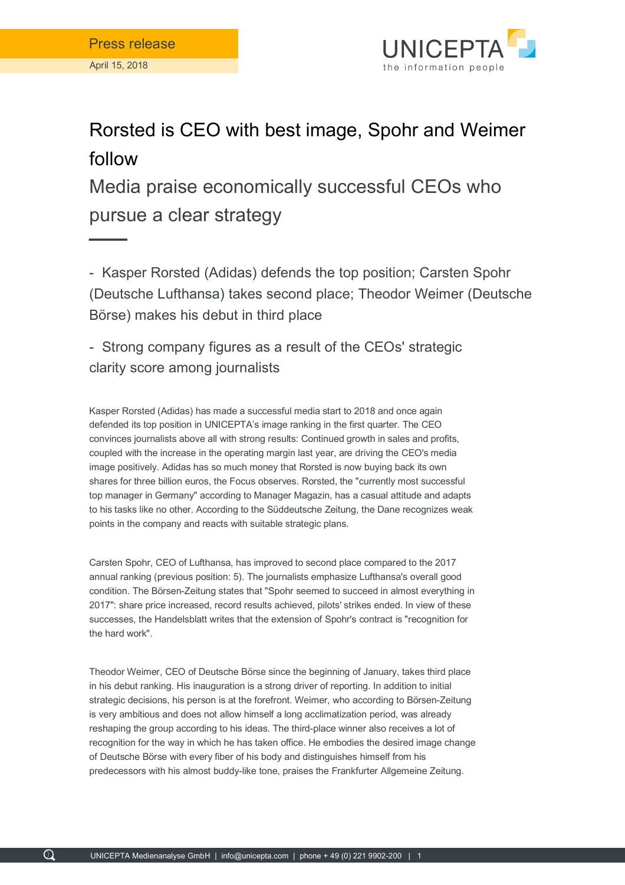

## Rorsted is CEO with best image, Spohr and Weimer follow

Media praise economically successful CEOs who pursue a clear strategy

- Kasper Rorsted (Adidas) defends the top position; Carsten Spohr (Deutsche Lufthansa) takes second place; Theodor Weimer (Deutsche Börse) makes his debut in third place

- Strong company figures as a result of the CEOs' strategic clarity score among journalists

Kasper Rorsted (Adidas) has made a successful media start to 2018 and once again defended its top position in UNICEPTA's image ranking in the first quarter. The CEO convinces journalists above all with strong results: Continued growth in sales and profits, coupled with the increase in the operating margin last year, are driving the CEO's media image positively. Adidas has so much money that Rorsted is now buying back its own shares for three billion euros, the Focus observes. Rorsted, the "currently most successful top manager in Germany" according to Manager Magazin, has a casual attitude and adapts to his tasks like no other. According to the Süddeutsche Zeitung, the Dane recognizes weak points in the company and reacts with suitable strategic plans.

Carsten Spohr, CEO of Lufthansa, has improved to second place compared to the 2017 annual ranking (previous position: 5). The journalists emphasize Lufthansa's overall good condition. The Börsen-Zeitung states that "Spohr seemed to succeed in almost everything in 2017": share price increased, record results achieved, pilots' strikes ended. In view of these successes, the Handelsblatt writes that the extension of Spohr's contract is "recognition for the hard work".

Theodor Weimer, CEO of Deutsche Börse since the beginning of January, takes third place in his debut ranking. His inauguration is a strong driver of reporting. In addition to initial strategic decisions, his person is at the forefront. Weimer, who according to Börsen-Zeitung is very ambitious and does not allow himself a long acclimatization period, was already reshaping the group according to his ideas. The third-place winner also receives a lot of recognition for the way in which he has taken office. He embodies the desired image change of Deutsche Börse with every fiber of his body and distinguishes himself from his predecessors with his almost buddy-like tone, praises the Frankfurter Allgemeine Zeitung.

 $\Omega$